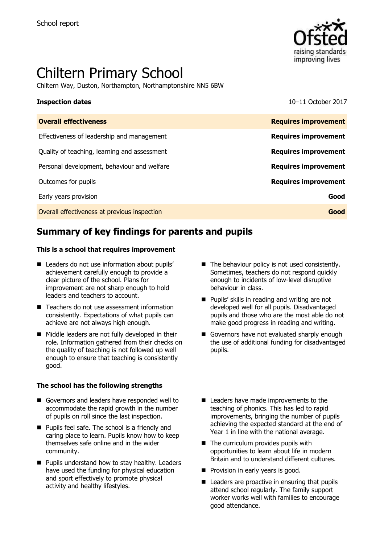

# Chiltern Primary School

Chiltern Way, Duston, Northampton, Northamptonshire NN5 6BW

**Inspection dates** 10–11 October 2017

| <b>Overall effectiveness</b>                 | <b>Requires improvement</b> |
|----------------------------------------------|-----------------------------|
| Effectiveness of leadership and management   | <b>Requires improvement</b> |
| Quality of teaching, learning and assessment | <b>Requires improvement</b> |
| Personal development, behaviour and welfare  | <b>Requires improvement</b> |
| Outcomes for pupils                          | <b>Requires improvement</b> |
| Early years provision                        | Good                        |
| Overall effectiveness at previous inspection | Good                        |

# **Summary of key findings for parents and pupils**

### **This is a school that requires improvement**

- Leaders do not use information about pupils' achievement carefully enough to provide a clear picture of the school. Plans for improvement are not sharp enough to hold leaders and teachers to account.
- Teachers do not use assessment information consistently. Expectations of what pupils can achieve are not always high enough.
- Middle leaders are not fully developed in their role. Information gathered from their checks on the quality of teaching is not followed up well enough to ensure that teaching is consistently good.

### **The school has the following strengths**

- Governors and leaders have responded well to accommodate the rapid growth in the number of pupils on roll since the last inspection.
- **Pupils feel safe. The school is a friendly and** caring place to learn. Pupils know how to keep themselves safe online and in the wider community.
- **Pupils understand how to stay healthy. Leaders** have used the funding for physical education and sport effectively to promote physical activity and healthy lifestyles.
- $\blacksquare$  The behaviour policy is not used consistently. Sometimes, teachers do not respond quickly enough to incidents of low-level disruptive behaviour in class.
- **Pupils' skills in reading and writing are not** developed well for all pupils. Disadvantaged pupils and those who are the most able do not make good progress in reading and writing.
- Governors have not evaluated sharply enough the use of additional funding for disadvantaged pupils.
- Leaders have made improvements to the teaching of phonics. This has led to rapid improvements, bringing the number of pupils achieving the expected standard at the end of Year 1 in line with the national average.
- The curriculum provides pupils with opportunities to learn about life in modern Britain and to understand different cultures.
- **Pedicion** in early years is good.
- $\blacksquare$  Leaders are proactive in ensuring that pupils attend school regularly. The family support worker works well with families to encourage good attendance.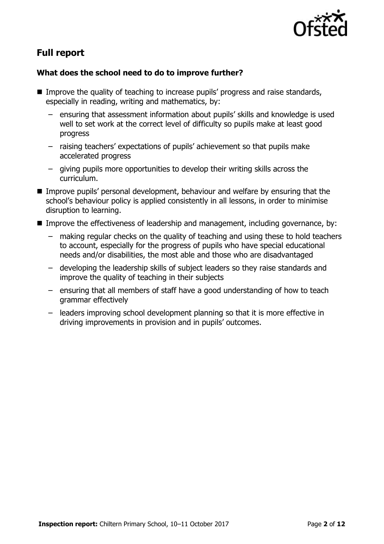

# **Full report**

### **What does the school need to do to improve further?**

- Improve the quality of teaching to increase pupils' progress and raise standards, especially in reading, writing and mathematics, by:
	- ensuring that assessment information about pupils' skills and knowledge is used well to set work at the correct level of difficulty so pupils make at least good progress
	- raising teachers' expectations of pupils' achievement so that pupils make accelerated progress
	- giving pupils more opportunities to develop their writing skills across the curriculum.
- Improve pupils' personal development, behaviour and welfare by ensuring that the school's behaviour policy is applied consistently in all lessons, in order to minimise disruption to learning.
- Improve the effectiveness of leadership and management, including governance, by:
	- making regular checks on the quality of teaching and using these to hold teachers to account, especially for the progress of pupils who have special educational needs and/or disabilities, the most able and those who are disadvantaged
	- developing the leadership skills of subject leaders so they raise standards and improve the quality of teaching in their subjects
	- ensuring that all members of staff have a good understanding of how to teach grammar effectively
	- leaders improving school development planning so that it is more effective in driving improvements in provision and in pupils' outcomes.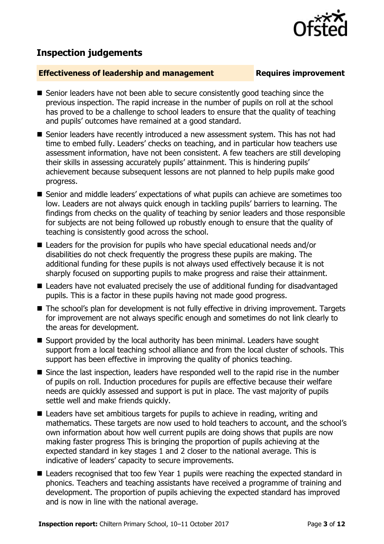## **Inspection judgements**

### **Effectiveness of leadership and management Requires improvement**

- Senior leaders have not been able to secure consistently good teaching since the previous inspection. The rapid increase in the number of pupils on roll at the school has proved to be a challenge to school leaders to ensure that the quality of teaching and pupils' outcomes have remained at a good standard.
- Senior leaders have recently introduced a new assessment system. This has not had time to embed fully. Leaders' checks on teaching, and in particular how teachers use assessment information, have not been consistent. A few teachers are still developing their skills in assessing accurately pupils' attainment. This is hindering pupils' achievement because subsequent lessons are not planned to help pupils make good progress.
- Senior and middle leaders' expectations of what pupils can achieve are sometimes too low. Leaders are not always quick enough in tackling pupils' barriers to learning. The findings from checks on the quality of teaching by senior leaders and those responsible for subjects are not being followed up robustly enough to ensure that the quality of teaching is consistently good across the school.
- Leaders for the provision for pupils who have special educational needs and/or disabilities do not check frequently the progress these pupils are making. The additional funding for these pupils is not always used effectively because it is not sharply focused on supporting pupils to make progress and raise their attainment.
- Leaders have not evaluated precisely the use of additional funding for disadvantaged pupils. This is a factor in these pupils having not made good progress.
- The school's plan for development is not fully effective in driving improvement. Targets for improvement are not always specific enough and sometimes do not link clearly to the areas for development.
- Support provided by the local authority has been minimal. Leaders have sought support from a local teaching school alliance and from the local cluster of schools. This support has been effective in improving the quality of phonics teaching.
- Since the last inspection, leaders have responded well to the rapid rise in the number of pupils on roll. Induction procedures for pupils are effective because their welfare needs are quickly assessed and support is put in place. The vast majority of pupils settle well and make friends quickly.
- Leaders have set ambitious targets for pupils to achieve in reading, writing and mathematics. These targets are now used to hold teachers to account, and the school's own information about how well current pupils are doing shows that pupils are now making faster progress This is bringing the proportion of pupils achieving at the expected standard in key stages 1 and 2 closer to the national average. This is indicative of leaders' capacity to secure improvements.
- Leaders recognised that too few Year 1 pupils were reaching the expected standard in phonics. Teachers and teaching assistants have received a programme of training and development. The proportion of pupils achieving the expected standard has improved and is now in line with the national average.

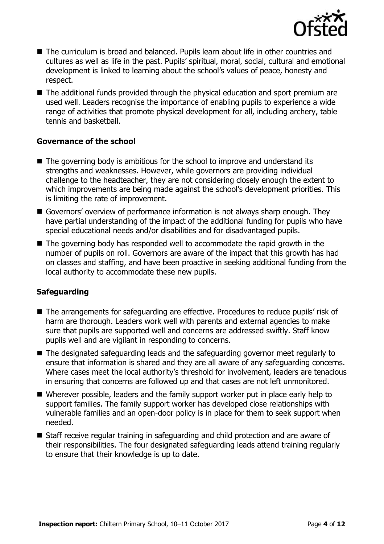

- The curriculum is broad and balanced. Pupils learn about life in other countries and cultures as well as life in the past. Pupils' spiritual, moral, social, cultural and emotional development is linked to learning about the school's values of peace, honesty and respect.
- The additional funds provided through the physical education and sport premium are used well. Leaders recognise the importance of enabling pupils to experience a wide range of activities that promote physical development for all, including archery, table tennis and basketball.

### **Governance of the school**

- The governing body is ambitious for the school to improve and understand its strengths and weaknesses. However, while governors are providing individual challenge to the headteacher, they are not considering closely enough the extent to which improvements are being made against the school's development priorities. This is limiting the rate of improvement.
- Governors' overview of performance information is not always sharp enough. They have partial understanding of the impact of the additional funding for pupils who have special educational needs and/or disabilities and for disadvantaged pupils.
- The governing body has responded well to accommodate the rapid growth in the number of pupils on roll. Governors are aware of the impact that this growth has had on classes and staffing, and have been proactive in seeking additional funding from the local authority to accommodate these new pupils.

### **Safeguarding**

- The arrangements for safeguarding are effective. Procedures to reduce pupils' risk of harm are thorough. Leaders work well with parents and external agencies to make sure that pupils are supported well and concerns are addressed swiftly. Staff know pupils well and are vigilant in responding to concerns.
- The designated safeguarding leads and the safeguarding governor meet regularly to ensure that information is shared and they are all aware of any safeguarding concerns. Where cases meet the local authority's threshold for involvement, leaders are tenacious in ensuring that concerns are followed up and that cases are not left unmonitored.
- Wherever possible, leaders and the family support worker put in place early help to support families. The family support worker has developed close relationships with vulnerable families and an open-door policy is in place for them to seek support when needed.
- Staff receive regular training in safeguarding and child protection and are aware of their responsibilities. The four designated safeguarding leads attend training regularly to ensure that their knowledge is up to date.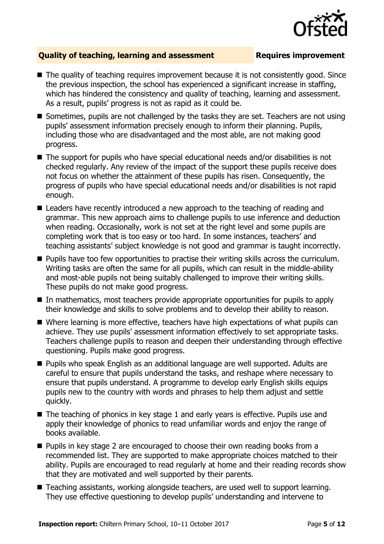

### **Quality of teaching, learning and assessment Requires improvement**

- The quality of teaching requires improvement because it is not consistently good. Since the previous inspection, the school has experienced a significant increase in staffing, which has hindered the consistency and quality of teaching, learning and assessment. As a result, pupils' progress is not as rapid as it could be.
- Sometimes, pupils are not challenged by the tasks they are set. Teachers are not using pupils' assessment information precisely enough to inform their planning. Pupils, including those who are disadvantaged and the most able, are not making good progress.
- The support for pupils who have special educational needs and/or disabilities is not checked regularly. Any review of the impact of the support these pupils receive does not focus on whether the attainment of these pupils has risen. Consequently, the progress of pupils who have special educational needs and/or disabilities is not rapid enough.
- Leaders have recently introduced a new approach to the teaching of reading and grammar. This new approach aims to challenge pupils to use inference and deduction when reading. Occasionally, work is not set at the right level and some pupils are completing work that is too easy or too hard. In some instances, teachers' and teaching assistants' subject knowledge is not good and grammar is taught incorrectly.
- **Pupils have too few opportunities to practise their writing skills across the curriculum.** Writing tasks are often the same for all pupils, which can result in the middle-ability and most-able pupils not being suitably challenged to improve their writing skills. These pupils do not make good progress.
- In mathematics, most teachers provide appropriate opportunities for pupils to apply their knowledge and skills to solve problems and to develop their ability to reason.
- Where learning is more effective, teachers have high expectations of what pupils can achieve. They use pupils' assessment information effectively to set appropriate tasks. Teachers challenge pupils to reason and deepen their understanding through effective questioning. Pupils make good progress.
- Pupils who speak English as an additional language are well supported. Adults are careful to ensure that pupils understand the tasks, and reshape where necessary to ensure that pupils understand. A programme to develop early English skills equips pupils new to the country with words and phrases to help them adjust and settle quickly.
- $\blacksquare$  The teaching of phonics in key stage 1 and early years is effective. Pupils use and apply their knowledge of phonics to read unfamiliar words and enjoy the range of books available.
- **Pupils in key stage 2 are encouraged to choose their own reading books from a** recommended list. They are supported to make appropriate choices matched to their ability. Pupils are encouraged to read regularly at home and their reading records show that they are motivated and well supported by their parents.
- Teaching assistants, working alongside teachers, are used well to support learning. They use effective questioning to develop pupils' understanding and intervene to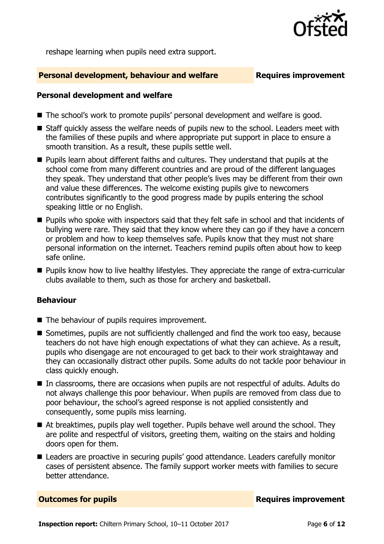

reshape learning when pupils need extra support.

### **Personal development, behaviour and welfare Fig. 2.1 Requires improvement**

### **Personal development and welfare**

- The school's work to promote pupils' personal development and welfare is good.
- Staff quickly assess the welfare needs of pupils new to the school. Leaders meet with the families of these pupils and where appropriate put support in place to ensure a smooth transition. As a result, these pupils settle well.
- **Pupils learn about different faiths and cultures. They understand that pupils at the** school come from many different countries and are proud of the different languages they speak. They understand that other people's lives may be different from their own and value these differences. The welcome existing pupils give to newcomers contributes significantly to the good progress made by pupils entering the school speaking little or no English.
- **Pupils who spoke with inspectors said that they felt safe in school and that incidents of** bullying were rare. They said that they know where they can go if they have a concern or problem and how to keep themselves safe. Pupils know that they must not share personal information on the internet. Teachers remind pupils often about how to keep safe online.
- **Pupils know how to live healthy lifestyles. They appreciate the range of extra-curricular** clubs available to them, such as those for archery and basketball.

### **Behaviour**

- The behaviour of pupils requires improvement.
- Sometimes, pupils are not sufficiently challenged and find the work too easy, because teachers do not have high enough expectations of what they can achieve. As a result, pupils who disengage are not encouraged to get back to their work straightaway and they can occasionally distract other pupils. Some adults do not tackle poor behaviour in class quickly enough.
- In classrooms, there are occasions when pupils are not respectful of adults. Adults do not always challenge this poor behaviour. When pupils are removed from class due to poor behaviour, the school's agreed response is not applied consistently and consequently, some pupils miss learning.
- At breaktimes, pupils play well together. Pupils behave well around the school. They are polite and respectful of visitors, greeting them, waiting on the stairs and holding doors open for them.
- Leaders are proactive in securing pupils' good attendance. Leaders carefully monitor cases of persistent absence. The family support worker meets with families to secure better attendance.

**Outcomes for pupils Requires improvement**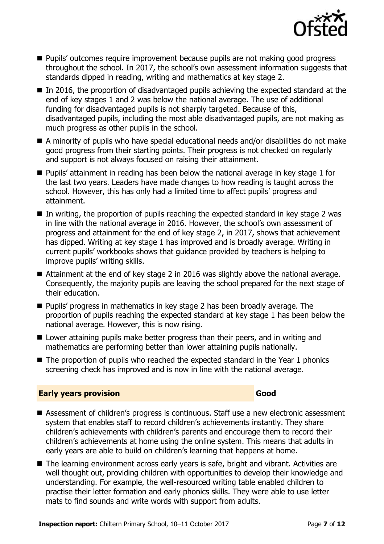

- **Pupils'** outcomes require improvement because pupils are not making good progress throughout the school. In 2017, the school's own assessment information suggests that standards dipped in reading, writing and mathematics at key stage 2.
- In 2016, the proportion of disadvantaged pupils achieving the expected standard at the end of key stages 1 and 2 was below the national average. The use of additional funding for disadvantaged pupils is not sharply targeted. Because of this, disadvantaged pupils, including the most able disadvantaged pupils, are not making as much progress as other pupils in the school.
- A minority of pupils who have special educational needs and/or disabilities do not make good progress from their starting points. Their progress is not checked on regularly and support is not always focused on raising their attainment.
- **Pupils'** attainment in reading has been below the national average in key stage 1 for the last two years. Leaders have made changes to how reading is taught across the school. However, this has only had a limited time to affect pupils' progress and attainment.
- $\blacksquare$  In writing, the proportion of pupils reaching the expected standard in key stage 2 was in line with the national average in 2016. However, the school's own assessment of progress and attainment for the end of key stage 2, in 2017, shows that achievement has dipped. Writing at key stage 1 has improved and is broadly average. Writing in current pupils' workbooks shows that guidance provided by teachers is helping to improve pupils' writing skills.
- Attainment at the end of key stage 2 in 2016 was slightly above the national average. Consequently, the majority pupils are leaving the school prepared for the next stage of their education.
- **Pupils' progress in mathematics in key stage 2 has been broadly average. The** proportion of pupils reaching the expected standard at key stage 1 has been below the national average. However, this is now rising.
- Lower attaining pupils make better progress than their peers, and in writing and mathematics are performing better than lower attaining pupils nationally.
- $\blacksquare$  The proportion of pupils who reached the expected standard in the Year 1 phonics screening check has improved and is now in line with the national average.

### **Early years provision Good Good**

- Assessment of children's progress is continuous. Staff use a new electronic assessment system that enables staff to record children's achievements instantly. They share children's achievements with children's parents and encourage them to record their children's achievements at home using the online system. This means that adults in early years are able to build on children's learning that happens at home.
- The learning environment across early years is safe, bright and vibrant. Activities are well thought out, providing children with opportunities to develop their knowledge and understanding. For example, the well-resourced writing table enabled children to practise their letter formation and early phonics skills. They were able to use letter mats to find sounds and write words with support from adults.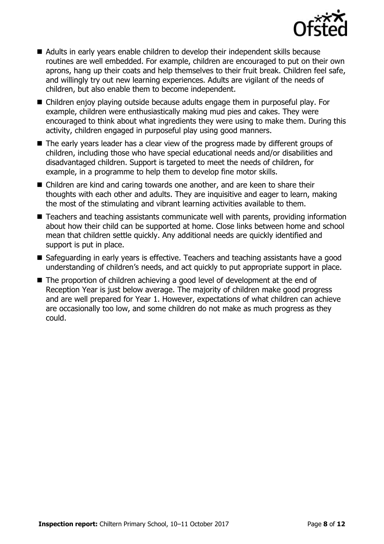

- Adults in early years enable children to develop their independent skills because routines are well embedded. For example, children are encouraged to put on their own aprons, hang up their coats and help themselves to their fruit break. Children feel safe, and willingly try out new learning experiences. Adults are vigilant of the needs of children, but also enable them to become independent.
- Children enjoy playing outside because adults engage them in purposeful play. For example, children were enthusiastically making mud pies and cakes. They were encouraged to think about what ingredients they were using to make them. During this activity, children engaged in purposeful play using good manners.
- The early years leader has a clear view of the progress made by different groups of children, including those who have special educational needs and/or disabilities and disadvantaged children. Support is targeted to meet the needs of children, for example, in a programme to help them to develop fine motor skills.
- Children are kind and caring towards one another, and are keen to share their thoughts with each other and adults. They are inquisitive and eager to learn, making the most of the stimulating and vibrant learning activities available to them.
- Teachers and teaching assistants communicate well with parents, providing information about how their child can be supported at home. Close links between home and school mean that children settle quickly. Any additional needs are quickly identified and support is put in place.
- Safeguarding in early years is effective. Teachers and teaching assistants have a good understanding of children's needs, and act quickly to put appropriate support in place.
- The proportion of children achieving a good level of development at the end of Reception Year is just below average. The majority of children make good progress and are well prepared for Year 1. However, expectations of what children can achieve are occasionally too low, and some children do not make as much progress as they could.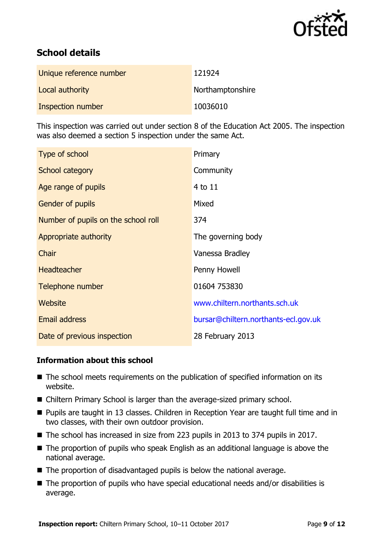

# **School details**

| Unique reference number | 121924           |
|-------------------------|------------------|
| Local authority         | Northamptonshire |
| Inspection number       | 10036010         |

This inspection was carried out under section 8 of the Education Act 2005. The inspection was also deemed a section 5 inspection under the same Act.

| Type of school                      | Primary                              |
|-------------------------------------|--------------------------------------|
| School category                     | Community                            |
| Age range of pupils                 | 4 to 11                              |
| Gender of pupils                    | Mixed                                |
| Number of pupils on the school roll | 374                                  |
| Appropriate authority               | The governing body                   |
| Chair                               | Vanessa Bradley                      |
| <b>Headteacher</b>                  | Penny Howell                         |
| Telephone number                    | 01604 753830                         |
| Website                             | www.chiltern.northants.sch.uk        |
| <b>Email address</b>                | bursar@chiltern.northants-ecl.gov.uk |
| Date of previous inspection         | 28 February 2013                     |

### **Information about this school**

- The school meets requirements on the publication of specified information on its website.
- Chiltern Primary School is larger than the average-sized primary school.
- Pupils are taught in 13 classes. Children in Reception Year are taught full time and in two classes, with their own outdoor provision.
- The school has increased in size from 223 pupils in 2013 to 374 pupils in 2017.
- The proportion of pupils who speak English as an additional language is above the national average.
- $\blacksquare$  The proportion of disadvantaged pupils is below the national average.
- The proportion of pupils who have special educational needs and/or disabilities is average.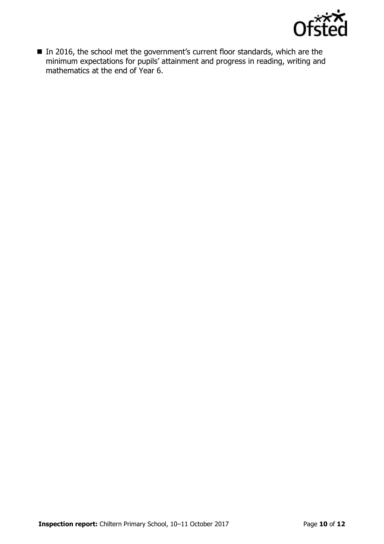

■ In 2016, the school met the government's current floor standards, which are the minimum expectations for pupils' attainment and progress in reading, writing and mathematics at the end of Year 6.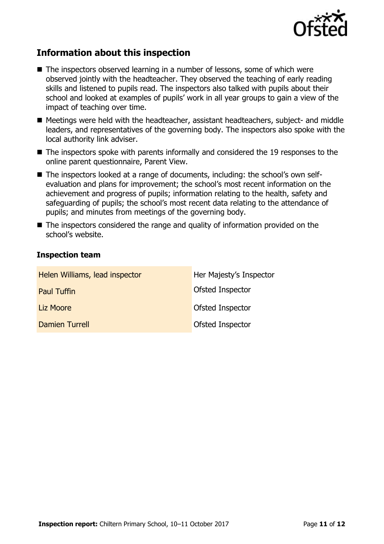

# **Information about this inspection**

- The inspectors observed learning in a number of lessons, some of which were observed jointly with the headteacher. They observed the teaching of early reading skills and listened to pupils read. The inspectors also talked with pupils about their school and looked at examples of pupils' work in all year groups to gain a view of the impact of teaching over time.
- Meetings were held with the headteacher, assistant headteachers, subject- and middle leaders, and representatives of the governing body. The inspectors also spoke with the local authority link adviser.
- The inspectors spoke with parents informally and considered the 19 responses to the online parent questionnaire, Parent View.
- The inspectors looked at a range of documents, including: the school's own selfevaluation and plans for improvement; the school's most recent information on the achievement and progress of pupils; information relating to the health, safety and safeguarding of pupils; the school's most recent data relating to the attendance of pupils; and minutes from meetings of the governing body.
- The inspectors considered the range and quality of information provided on the school's website.

### **Inspection team**

| Helen Williams, lead inspector | Her Majesty's Inspector |
|--------------------------------|-------------------------|
| <b>Paul Tuffin</b>             | Ofsted Inspector        |
| Liz Moore                      | Ofsted Inspector        |
| Damien Turrell                 | Ofsted Inspector        |